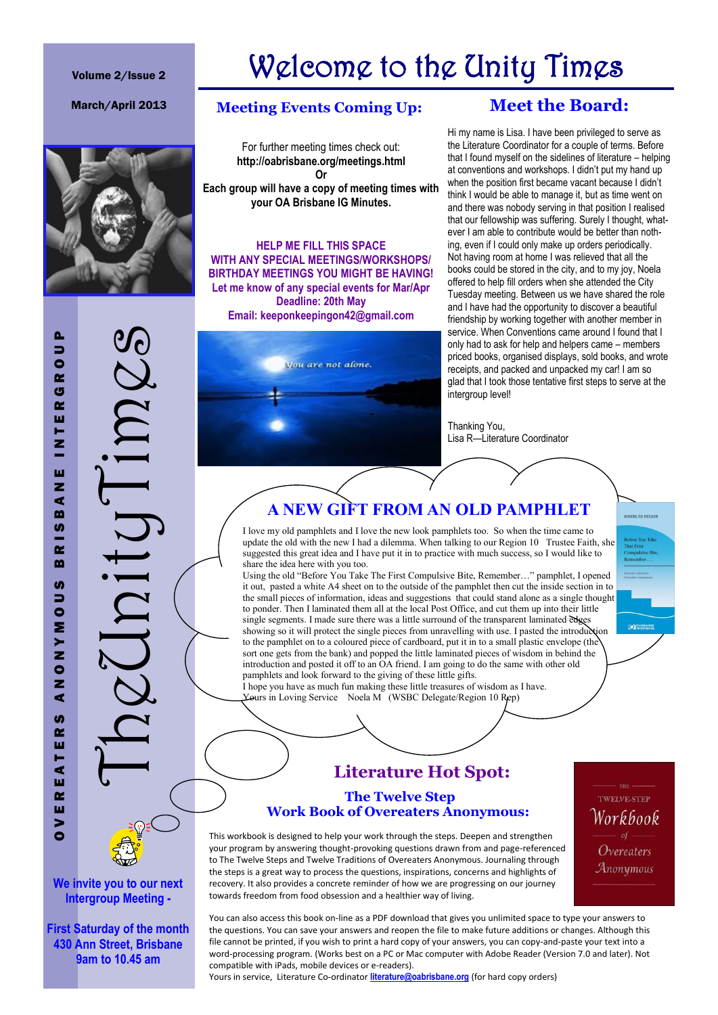#### Volume 2/Issue 2

# Welcome to the Unity Times



TheUnityTimes

#### March/April 2013 **Meeting Events Coming Up:**

For further meeting times check out: **http://oabrisbane.org/meetings.html Or Each group will have a copy of meeting times with your OA Brisbane IG Minutes.**

**HELP ME FILL THIS SPACE WITH ANY SPECIAL MEETINGS/WORKSHOPS/ BIRTHDAY MEETINGS YOU MIGHT BE HAVING! Let me know of any special events for Mar/Apr Deadline: 20th May Email: keeponkeepingon42@gmail.com**



### **Meet the Board:**

Hi my name is Lisa. I have been privileged to serve as the Literature Coordinator for a couple of terms. Before that I found myself on the sidelines of literature – helping at conventions and workshops. I didn't put my hand up when the position first became vacant because I didn't think I would be able to manage it, but as time went on and there was nobody serving in that position I realised that our fellowship was suffering. Surely I thought, whatever I am able to contribute would be better than nothing, even if I could only make up orders periodically. Not having room at home I was relieved that all the books could be stored in the city, and to my joy, Noela offered to help fill orders when she attended the City Tuesday meeting. Between us we have shared the role and I have had the opportunity to discover a beautiful friendship by working together with another member in service. When Conventions came around I found that I only had to ask for help and helpers came – members priced books, organised displays, sold books, and wrote receipts, and packed and unpacked my car! I am so glad that I took those tentative first steps to serve at the intergroup level!

Thanking You, Lisa R—Literature Coordinator

### **A NEW GIFT FROM AN OLD PAMPHLET**

I love my old pamphlets and I love the new look pamphlets too. So when the time came to update the old with the new I had a dilemma. When talking to our Region 10 Trustee Faith, she suggested this great idea and I have put it in to practice with much success, so I would like to share the idea here with you too.

Using the old "Before You Take The First Compulsive Bite, Remember…" pamphlet, I opened it out, pasted a white A4 sheet on to the outside of the pamphlet then cut the inside section in to the small pieces of information, ideas and suggestions that could stand alone as a single thought to ponder. Then I laminated them all at the local Post Office, and cut them up into their little single segments. I made sure there was a little surround of the transparent laminated edges showing so it will protect the single pieces from unravelling with use. I pasted the introduction to the pamphlet on to a coloured piece of cardboard, put it in to a small plastic envelope (the sort one gets from the bank) and popped the little laminated pieces of wisdom in behind the introduction and posted it off to an OA friend. I am going to do the same with other old pamphlets and look forward to the giving of these little gifts.

I hope you have as much fun making these little treasures of wisdom as I have. Yours in Loving Service Noela M (WSBC Delegate/Region 10 Rep)

### **Literature Hot Spot:**

#### **The Twelve Step Work Book of Overeaters Anonymous:**

This workbook is designed to help your work through the steps. Deepen and strengthen your program by answering thought-provoking questions drawn from and page-referenced to The Twelve Steps and Twelve Traditions of Overeaters Anonymous. Journaling through the steps is a great way to process the questions, inspirations, concerns and highlights of recovery. It also provides a concrete reminder of how we are progressing on our journey towards freedom from food obsession and a healthier way of living.

TWELVE-STEP Workbook Overeaters Anonymous

**CONTREATE** 

**We invite you to our next Intergroup Meeting -**

**First Saturday of the month 430 Ann Street, Brisbane 9am to 10.45 am**

You can also access this book on-line as a PDF download that gives you unlimited space to type your answers to the questions. You can save your answers and reopen the file to make future additions or changes. Although this file cannot be printed, if you wish to print a hard copy of your answers, you can copy-and-paste your text into a word-processing program. (Works best on a PC or Mac computer with Adobe Reader (Version 7.0 and later). Not compatible with iPads, mobile devices or e-readers).

Yours in service, Literature Co-ordinator **[literature@oabrisbane.org](mailto:literature@oabrisbane.org)** (for hard copy orders)

 $\bullet$